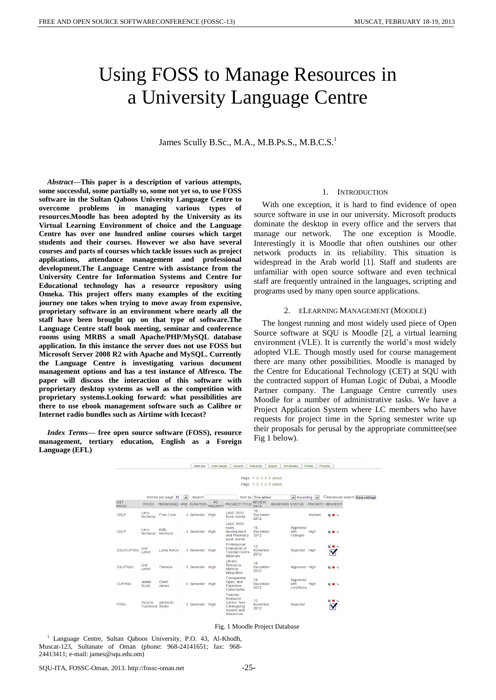# Using FOSS to Manage Resources in a University Language Centre

James Scully B.Sc., M.A., M.B.Ps.S., M.B.C.S.<sup>1</sup>

*Abstract***—This paper is a description of various attempts, some successful, some partially so, some not yet so, to use FOSS software in the Sultan Qaboos University Language Centre to overcome problems in managing various types of resources.Moodle has been adopted by the University as its Virtual Learning Environment of choice and the Language Centre has over one hundred online courses which target students and their courses. However we also have several courses and parts of courses which tackle issues such as project applications, attendance management and professional development.The Language Centre with assistance from the University Centre for Information Systems and Centre for Educational technology has a resource repository using Omeka. This project offers many examples of the exciting journey one takes when trying to move away from expensive, proprietary software in an environment where nearly all the staff have been brought up on that type of software.The Language Centre staff book meeting, seminar and conference rooms using MRBS a small Apache/PHP/MySQL database application. In this instance the server does not use FOSS but Microsoft Server 2008 R2 with Apache and MySQL. Currently the Language Centre is investigating various document management options and has a test instance of Alfresco. The paper will discuss the interaction of this software with proprietary desktop systems as well as the competition with proprietary systems.Looking forward: what possibilities are there to use ebook management software such as Calibre or Internet radio bundles such as Airtime with Icecast?**

*Index Terms***— free open source software (FOSS), resource management, tertiary education, English as a Foreign Language (EFL)**

# 1. INTRODUCTION

With one exception, it is hard to find evidence of open source software in use in our university. Microsoft products dominate the desktop in every office and the servers that manage our network. The one exception is Moodle. Interestingly it is Moodle that often outshines our other network products in its reliability. This situation is widespread in the Arab world [1]. Staff and students are unfamiliar with open source software and even technical staff are frequently untrained in the languages, scripting and programs used by many open source applications.

# 2. ELEARNING MANAGEMENT (MOODLE)

The longest running and most widely used piece of Open Source software at SQU is Moodle [2], a virtual learning environment (VLE). It is currently the world's most widely adopted VLE. Though mostly used for course management there are many other possibilities. Moodle is managed by the Centre for Educational Technology (CET) at SQU with the contracted support of Human Logic of Dubai, a Moodle Partner company. The Language Centre currently uses Moodle for a number of administrative tasks. We have a Project Application System where LC members who have requests for project time in the Spring semester write up their proposals for perusal by the appropriate committee(see Fig 1 below).



#### Fig. 1 Moodle Project Database

<sup>1</sup> Language Centre, Sultan Qaboos University, P.O. 43, Al-Khodh, Muscat-123, Sultanate of Oman (phone: 968-24141651; fax: 968- 24413411; e-mail: james@squ.edu.om)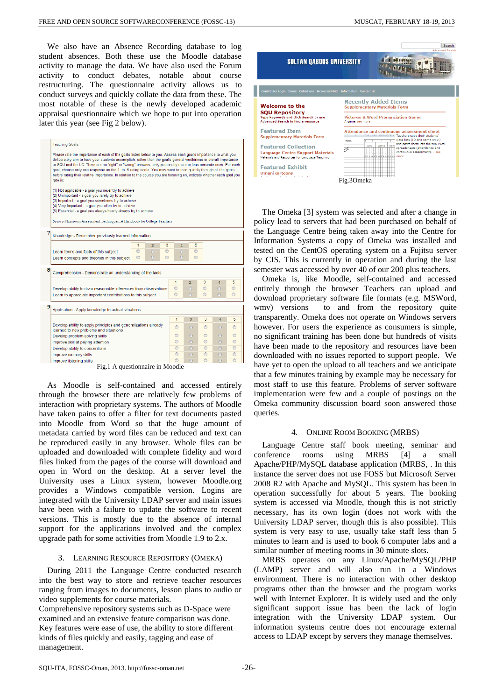We also have an Absence Recording database to log student absences. Both these use the Moodle database activity to manage the data. We have also used the Forum activity to conduct debates, notable about course restructuring. The questionnaire activity allows us to conduct surveys and quickly collate the data from these. The most notable of these is the newly developed academic appraisal questionnaire which we hope to put into operation later this year (see Fig 2 below).

|                                 | <b>Teaching Goals:</b>                                                                                                                                                                                                                                                                                                                                                                                                                                                                                                                                                                                            |                |                |         |                |                |  |  |  |  |  |
|---------------------------------|-------------------------------------------------------------------------------------------------------------------------------------------------------------------------------------------------------------------------------------------------------------------------------------------------------------------------------------------------------------------------------------------------------------------------------------------------------------------------------------------------------------------------------------------------------------------------------------------------------------------|----------------|----------------|---------|----------------|----------------|--|--|--|--|--|
|                                 | Please rate the importance of each of the goals listed below to you. Assess each goal's importance to what you<br>deliberately aim to have your students accomplish, rather than the goal's general worthiness or overall importance<br>to SQU and the LC. There are no "right" or "wrong" answers; only personally more or less accurate ones. For each<br>goal, choose only one response on the 1- to -5 rating scale. You may want to read quickly through all the goals<br>before rating their relative importance. In relation to the course you are focusing on, indicate whether each goal you<br>rate is: |                |                |         |                |                |  |  |  |  |  |
|                                 | (1) Not applicable - a goal you never try to achieve<br>(2) Unimportant - a goal you rarely try to achieve<br>(3) Important - a goal you sometimes try to achieve<br>(4) Very Important - a goal you often try to achieve<br>(5) Essential - a goal you always/nearly always try to achieve<br>Source:Classroom Assessment Techniques: A Handbook for College Teachers                                                                                                                                                                                                                                            |                |                |         |                |                |  |  |  |  |  |
|                                 |                                                                                                                                                                                                                                                                                                                                                                                                                                                                                                                                                                                                                   |                |                |         |                |                |  |  |  |  |  |
|                                 | Knowledge - Remember previously learned information.                                                                                                                                                                                                                                                                                                                                                                                                                                                                                                                                                              |                |                |         |                |                |  |  |  |  |  |
|                                 | 1<br>$\overline{2}$<br>3                                                                                                                                                                                                                                                                                                                                                                                                                                                                                                                                                                                          | $\overline{4}$ | 5              |         |                |                |  |  |  |  |  |
|                                 | $\circ$<br>$\odot$<br>$\circledcirc$<br>Learn terms and facts of this subject                                                                                                                                                                                                                                                                                                                                                                                                                                                                                                                                     | $\odot$        | $\odot$        |         |                |                |  |  |  |  |  |
|                                 | $\odot$<br>$\odot$<br>$\circledcirc$<br>Learn concepts and theories in this subject                                                                                                                                                                                                                                                                                                                                                                                                                                                                                                                               | $\odot$        | $\odot$        |         |                |                |  |  |  |  |  |
|                                 |                                                                                                                                                                                                                                                                                                                                                                                                                                                                                                                                                                                                                   |                |                |         |                |                |  |  |  |  |  |
| 8                               | Comprehension - Demonstrate an understanding of the facts.                                                                                                                                                                                                                                                                                                                                                                                                                                                                                                                                                        |                |                |         |                |                |  |  |  |  |  |
|                                 |                                                                                                                                                                                                                                                                                                                                                                                                                                                                                                                                                                                                                   | 1              | $\overline{a}$ | 3       | $\overline{4}$ | 5              |  |  |  |  |  |
|                                 | Develop ability to draw reasonable inferences from observations                                                                                                                                                                                                                                                                                                                                                                                                                                                                                                                                                   | $\odot$        | $\odot$        | $\odot$ | ⊙              | $\odot$        |  |  |  |  |  |
|                                 | Learn to appreciate important contributions to this subject                                                                                                                                                                                                                                                                                                                                                                                                                                                                                                                                                       | $\circ$        | $\circ$        | $\odot$ | $\odot$        | $\odot$        |  |  |  |  |  |
| 9                               | Application - Apply knowledge to actual situations.                                                                                                                                                                                                                                                                                                                                                                                                                                                                                                                                                               |                |                |         |                |                |  |  |  |  |  |
|                                 |                                                                                                                                                                                                                                                                                                                                                                                                                                                                                                                                                                                                                   | 1              | $\overline{2}$ | 3       | $\overline{4}$ | 5              |  |  |  |  |  |
|                                 | Develop ability to apply principles and generalizations already                                                                                                                                                                                                                                                                                                                                                                                                                                                                                                                                                   | $\odot$        | $\odot$        | $\odot$ | $\odot$        | $\circledcirc$ |  |  |  |  |  |
|                                 | learned to new problems and situations                                                                                                                                                                                                                                                                                                                                                                                                                                                                                                                                                                            |                |                |         |                |                |  |  |  |  |  |
|                                 | Develop problem-solving skills                                                                                                                                                                                                                                                                                                                                                                                                                                                                                                                                                                                    | $\circ$        | $\odot$        | $\odot$ | $\odot$        | $\circ$        |  |  |  |  |  |
|                                 | Improve skill at paying attention                                                                                                                                                                                                                                                                                                                                                                                                                                                                                                                                                                                 | $\circ$        | $\odot$        | $\circ$ | $\odot$        | $\circ$        |  |  |  |  |  |
|                                 | Develop ability to concentrate                                                                                                                                                                                                                                                                                                                                                                                                                                                                                                                                                                                    | $\circ$        | ⋒              | $\odot$ | $\odot$        | $\circledcirc$ |  |  |  |  |  |
|                                 | Improve memory skills                                                                                                                                                                                                                                                                                                                                                                                                                                                                                                                                                                                             | $\circ$        | ⋒              | $\circ$ | $\odot$        | $\circledcirc$ |  |  |  |  |  |
|                                 | Improve listening skills                                                                                                                                                                                                                                                                                                                                                                                                                                                                                                                                                                                          |                | $\odot$        |         |                |                |  |  |  |  |  |
| Fig.1 A questionnaire in Moodle |                                                                                                                                                                                                                                                                                                                                                                                                                                                                                                                                                                                                                   |                |                |         |                |                |  |  |  |  |  |

As Moodle is self-contained and accessed entirely through the browser there are relatively few problems of interaction with proprietary systems. The authors of Moodle have taken pains to offer a filter for text documents pasted into Moodle from Word so that the huge amount of metadata carried by word files can be reduced and text can be reproduced easily in any browser. Whole files can be uploaded and downloaded with complete fidelity and word files linked from the pages of the course will download and open in Word on the desktop. At a server level the University uses a Linux system, however Moodle.org provides a Windows compatible version. Logins are integrated with the University LDAP server and main issues have been with a failure to update the software to recent versions. This is mostly due to the absence of internal support for the applications involved and the complex upgrade path for some activities from Moodle 1.9 to 2.x.

# 3. LEARNING RESOURCE REPOSITORY (OMEKA)

During 2011 the Language Centre conducted research into the best way to store and retrieve teacher resources ranging from images to documents, lesson plans to audio or video supplements for course materials.

Comprehensive repository systems such as D-Space were examined and an extensive feature comparison was done. Key features were ease of use, the ability to store different kinds of files quickly and easily, tagging and ease of management.



The Omeka [3] system was selected and after a change in policy lead to servers that had been purchased on behalf of the Language Centre being taken away into the Centre for Information Systems a copy of Omeka was installed and tested on the CentOS operating system on a Fujitsu server by CIS. This is currently in operation and during the last semester was accessed by over 40 of our 200 plus teachers.

Omeka is, like Moodle, self-contained and accessed entirely through the browser Teachers can upload and download proprietary software file formats (e.g. MSWord, wmv) versions to and from the repository quite transparently. Omeka does not operate on Windows servers however. For users the experience as consumers is simple, no significant training has been done but hundreds of visits have been made to the repository and resources have been downloaded with no issues reported to support people. We have yet to open the upload to all teachers and we anticipate that a few minutes training by example may be necessary for most staff to use this feature. Problems of server software implementation were few and a couple of postings on the Omeka community discussion board soon answered those queries.

# 4. ONLINE ROOM BOOKING (MRBS)

Language Centre staff book meeting, seminar and conference rooms using MRBS [4] a small Apache/PHP/MySQL database application (MRBS, . In this instance the server does not use FOSS but Microsoft Server 2008 R2 with Apache and MySQL. This system has been in operation successfully for about 5 years. The booking system is accessed via Moodle, though this is not strictly necessary, has its own login (does not work with the University LDAP server, though this is also possible). This system is very easy to use, usually take staff less than 5 minutes to learn and is used to book 6 computer labs and a similar number of meeting rooms in 30 minute slots.

MRBS operates on any Linux/Apache/MySQL/PHP (LAMP) server and will also run in a Windows environment. There is no interaction with other desktop programs other than the browser and the program works well with Internet Explorer. It is widely used and the only significant support issue has been the lack of login integration with the University LDAP system. Our information systems centre does not encourage external access to LDAP except by servers they manage themselves.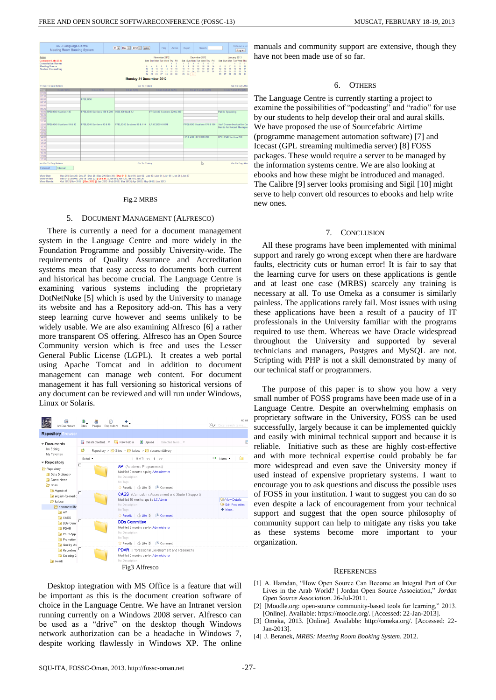

#### Fig.2 MRBS

## 5. DOCUMENT MANAGEMENT (ALFRESCO)

There is currently a need for a document management system in the Language Centre and more widely in the Foundation Programme and possibly University-wide. The requirements of Quality Assurance and Accreditation systems mean that easy access to documents both current and historical has become crucial. The Language Centre is examining various systems including the proprietary DotNetNuke [5] which is used by the University to manage its website and has a Repository add-on. This has a very steep learning curve however and seems unlikely to be widely usable. We are also examining Alfresco [6] a rather more transparent OS offering. Alfresco has an Open Source Community version which is free and uses the Lesser General Public License (LGPL). It creates a web portal using Apache Tomcat and in addition to document management can manage web content. For document management it has full versioning so historical versions of any document can be reviewed and will run under Windows, Linux or Solaris.

| 図<br>My Dashboard                                                                                                                                                           | Sites<br>People                                              | Repository<br>More                                                               |                                                                                                                                                                                                                                                   | Q - | Admi<br>Enter search terms                                  |  |  |  |  |
|-----------------------------------------------------------------------------------------------------------------------------------------------------------------------------|--------------------------------------------------------------|----------------------------------------------------------------------------------|---------------------------------------------------------------------------------------------------------------------------------------------------------------------------------------------------------------------------------------------------|-----|-------------------------------------------------------------|--|--|--|--|
| <b>Repository Browser</b>                                                                                                                                                   |                                                              |                                                                                  |                                                                                                                                                                                                                                                   |     |                                                             |  |  |  |  |
| Documents                                                                                                                                                                   | Create Content *<br>Upload<br>New Folder<br>Selected Items ▼ |                                                                                  |                                                                                                                                                                                                                                                   |     | ır                                                          |  |  |  |  |
| I'm Editing<br>My Favorites                                                                                                                                                 | 酵<br>Repository > Sites > Colocs > ColocumentLibrary         |                                                                                  |                                                                                                                                                                                                                                                   |     |                                                             |  |  |  |  |
|                                                                                                                                                                             | Select -                                                     |                                                                                  | $1 - 9$ of $9 < 1$ >>                                                                                                                                                                                                                             |     | Et Name v<br>г                                              |  |  |  |  |
| * Repository<br>Repository<br>Data Dictionary<br><b>D</b> Guest Home<br><b>B</b> Sites<br>Appraisal<br>english-for-medic<br><b>P</b> lodoos<br>documentLibr<br><b>Fa</b> AP | п<br>п                                                       | No Description<br>No Tags<br>$\frac{1}{2}$ Favorite<br>No Description<br>No Tags | AP (Academic Programmes)<br>Modified 2 months ago by Administrator<br>□ △ Like 0 □ © Comment<br>CASS (Curriculum, Assessment and Student Support)<br>Modified 10 months ago by LC Admin<br>17 Favorite   <i>C</i> a Like 0   <sup>□</sup> Comment |     | <b>Lib View Details</b><br><b>Edit Properties</b><br>+ More |  |  |  |  |
| <b>DI CASS</b><br>DDs Comr<br>$\Box$ PDAR<br>Ph.D Appl<br><b>Promotion</b><br><b>A</b> Quality As<br><b>Recruitme</b><br>Steering C<br>a swsdp                              | D.                                                           | <b>DDs Committee</b><br>No Description<br>No Tags<br>No Description              | Modified 2 months ago by Administrator<br>12 Favorite   7a Like 0   <b>■</b> Comment<br><b>PDAR</b> (Professional Development and Research)<br>Modified 2 months ago by Administrator                                                             |     |                                                             |  |  |  |  |
|                                                                                                                                                                             |                                                              |                                                                                  | Fig3 Alfresco                                                                                                                                                                                                                                     |     |                                                             |  |  |  |  |

Desktop integration with MS Office is a feature that will be important as this is the document creation software of choice in the Language Centre. We have an Intranet version running currently on a Windows 2008 server. Alfresco can be used as a "drive" on the desktop though Windows network authorization can be a headache in Windows 7, despite working flawlessly in Windows XP. The online

manuals and community support are extensive, though they have not been made use of so far.

## 6. OTHERS

The Language Centre is currently starting a project to examine the possibilities of "podcasting" and "radio" for use by our students to help develop their oral and aural skills. We have proposed the use of Sourcefabric Airtime (programme management automation software) [7] and Icecast (GPL streaming multimedia server) [8] FOSS packages. These would require a server to be managed by the information systems centre. We are also looking at ebooks and how these might be introduced and managed. The Calibre [9] server looks promising and Sigil [10] might serve to help convert old resources to ebooks and help write new ones.

# 7. CONCLUSION

All these programs have been implemented with minimal support and rarely go wrong except when there are hardware faults, electricity cuts or human error! It is fair to say that the learning curve for users on these applications is gentle and at least one case (MRBS) scarcely any training is necessary at all. To use Omeka as a consumer is similarly painless. The applications rarely fail. Most issues with using these applications have been a result of a paucity of IT professionals in the University familiar with the programs required to use them. Whereas we have Oracle widespread throughout the University and supported by several technicians and managers, Postgres and MySQL are not. Scripting with PHP is not a skill demonstrated by many of our technical staff or programmers.

The purpose of this paper is to show you how a very small number of FOSS programs have been made use of in a Language Centre. Despite an overwhelming emphasis on proprietary software in the University, FOSS can be used successfully, largely because it can be implemented quickly and easily with minimal technical support and because it is reliable. Initiative such as these are highly cost-effective and with more technical expertise could probably be far more widespread and even save the University money if used instead of expensive proprietary systems. I want to encourage you to ask questions and discuss the possible uses of FOSS in your institution. I want to suggest you can do so even despite a lack of encouragement from your technical support and suggest that the open source philosophy of community support can help to mitigate any risks you take as these systems become more important to your organization.

### **REFERENCES**

- [1] A. Hamdan, "How Open Source Can Become an Integral Part of Our Lives in the Arab World? | Jordan Open Source Association," *Jordan Open Source Association*. 26-Jul-2011.
- [2] [Moodle.org: open-source community-based tools for learning," 2013. [Online]. Available: https://moodle.org/. [Accessed: 22-Jan-2013].
- [3] Omeka, 2013. [Online]. Available: http://omeka.org/. [Accessed: 22- Jan-2013].
- [4] J. Beranek, *MRBS: Meeting Room Booking System*. 2012.